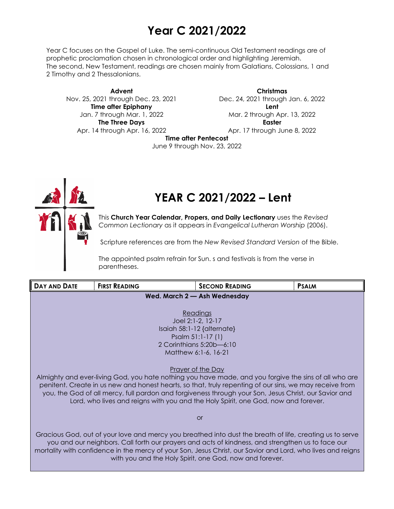## **Year C 2021/2022**

Year C focuses on the Gospel of Luke. The semi-continuous Old Testament readings are of prophetic proclamation chosen in chronological order and highlighting Jeremiah. The second, New Testament, readings are chosen mainly from Galatians, Colossians, 1 and 2 Timothy and 2 Thessalonians.

**Advent** Nov. 25, 2021 through Dec. 23, 2021 **Time after Epiphany** Jan. 7 through Mar. 1, 2022 **The Three Days** Apr. 14 through Apr. 16, 2022

**Christmas** Dec. 24, 2021 through Jan. 6, 2022 **Lent** Mar. 2 through Apr. 13, 2022 **Easter** Apr. 17 through June 8, 2022

**Time after Pentecost**

June 9 through Nov. 23, 2022



# **YEAR C 2021/2022 – Lent**

This **Church Year Calendar, Propers, and Daily Lectionary** uses the *Revised Common Lectionary* as it appears in *Evangelical Lutheran Worship* (2006).

Scripture references are from the *New Revised Standard Version* of the Bible.

The appointed psalm refrain for Sun. s and festivals is from the verse in parentheses.

| <b>DAY AND DATE</b>                                                                                                                                                                                                                                                                                                                                                                                                                         | <b>FIRST READING</b> | <b>SECOND READING</b>                                   | <b>PSALM</b> |
|---------------------------------------------------------------------------------------------------------------------------------------------------------------------------------------------------------------------------------------------------------------------------------------------------------------------------------------------------------------------------------------------------------------------------------------------|----------------------|---------------------------------------------------------|--------------|
| Wed. March 2 - Ash Wednesday                                                                                                                                                                                                                                                                                                                                                                                                                |                      |                                                         |              |
|                                                                                                                                                                                                                                                                                                                                                                                                                                             |                      |                                                         |              |
| <b>Readings</b>                                                                                                                                                                                                                                                                                                                                                                                                                             |                      |                                                         |              |
|                                                                                                                                                                                                                                                                                                                                                                                                                                             |                      | Joel 2:1-2, 12-17<br>Isaiah 58:1-12 $\{$ alternate $\}$ |              |
| Psalm 51:1-17 (1)                                                                                                                                                                                                                                                                                                                                                                                                                           |                      |                                                         |              |
| 2 Corinthians 5:20b-6:10                                                                                                                                                                                                                                                                                                                                                                                                                    |                      |                                                         |              |
| Matthew 6:1-6, 16-21                                                                                                                                                                                                                                                                                                                                                                                                                        |                      |                                                         |              |
|                                                                                                                                                                                                                                                                                                                                                                                                                                             |                      |                                                         |              |
| <u>Prayer of the Day</u><br>Almighty and ever-living God, you hate nothing you have made, and you forgive the sins of all who are<br>penitent. Create in us new and honest hearts, so that, truly repenting of our sins, we may receive from<br>you, the God of all mercy, full pardon and forgiveness through your Son, Jesus Christ, our Savior and<br>Lord, who lives and reigns with you and the Holy Spirit, one God, now and forever. |                      |                                                         |              |
| <b>or</b>                                                                                                                                                                                                                                                                                                                                                                                                                                   |                      |                                                         |              |
| Gracious God, out of your love and mercy you breathed into dust the breath of life, creating us to serve<br>you and our neighbors. Call forth our prayers and acts of kindness, and strengthen us to face our<br>mortality with confidence in the mercy of your Son, Jesus Christ, our Savior and Lord, who lives and reigns<br>with you and the Holy Spirit, one God, now and forever.                                                     |                      |                                                         |              |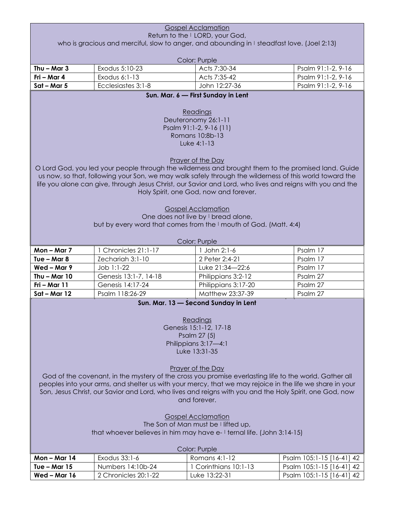| <b>Gospel Acclamation</b>                                                                                |                                                                                                           |                                                                  |                           |  |  |
|----------------------------------------------------------------------------------------------------------|-----------------------------------------------------------------------------------------------------------|------------------------------------------------------------------|---------------------------|--|--|
| Return to the I LORD, your God,                                                                          |                                                                                                           |                                                                  |                           |  |  |
| who is gracious and merciful, slow to anger, and abounding in I steadfast love. (Joel 2:13)              |                                                                                                           |                                                                  |                           |  |  |
|                                                                                                          | Color: Purple                                                                                             |                                                                  |                           |  |  |
| Thu $-$ Mar 3                                                                                            | Exodus 5:10-23                                                                                            | Acts 7:30-34                                                     | Psalm 91:1-2, 9-16        |  |  |
| Fri - Mar 4                                                                                              | Exodus 6:1-13                                                                                             | Acts 7:35-42                                                     | Psalm 91:1-2, 9-16        |  |  |
| $Sat - Mar 5$                                                                                            | Ecclesiastes 3:1-8                                                                                        | John 12:27-36                                                    | Psalm 91:1-2, 9-16        |  |  |
|                                                                                                          |                                                                                                           | Sun. Mar. 6 - First Sunday in Lent                               |                           |  |  |
|                                                                                                          |                                                                                                           |                                                                  |                           |  |  |
|                                                                                                          |                                                                                                           | Readings                                                         |                           |  |  |
|                                                                                                          |                                                                                                           | Deuteronomy 26:1-11                                              |                           |  |  |
|                                                                                                          |                                                                                                           | Psalm 91:1-2, 9-16 (11)                                          |                           |  |  |
|                                                                                                          |                                                                                                           | Romans 10:8b-13                                                  |                           |  |  |
|                                                                                                          |                                                                                                           | Luke 4:1-13                                                      |                           |  |  |
|                                                                                                          |                                                                                                           |                                                                  |                           |  |  |
|                                                                                                          |                                                                                                           | <b>Prayer of the Day</b>                                         |                           |  |  |
|                                                                                                          | O Lord God, you led your people through the wilderness and brought them to the promised land. Guide       |                                                                  |                           |  |  |
|                                                                                                          | us now, so that, following your Son, we may walk safely through the wilderness of this world toward the   |                                                                  |                           |  |  |
|                                                                                                          | life you alone can give, through Jesus Christ, our Savior and Lord, who lives and reigns with you and the |                                                                  |                           |  |  |
|                                                                                                          |                                                                                                           | Holy Spirit, one God, now and forever.                           |                           |  |  |
|                                                                                                          |                                                                                                           |                                                                  |                           |  |  |
|                                                                                                          |                                                                                                           | <b>Gospel Acclamation</b><br>One does not live by I bread alone, |                           |  |  |
|                                                                                                          | but by every word that comes from the I mouth of God. (Matt. 4:4)                                         |                                                                  |                           |  |  |
|                                                                                                          |                                                                                                           |                                                                  |                           |  |  |
|                                                                                                          |                                                                                                           | Color: Purple                                                    |                           |  |  |
| Mon-Mar 7                                                                                                | 1 Chronicles 21:1-17                                                                                      | 1 John 2:1-6                                                     | Psalm 17                  |  |  |
| Tue $-$ Mar 8                                                                                            | Zechariah 3:1-10                                                                                          | 2 Peter 2:4-21                                                   | Psalm 17                  |  |  |
| Wed-Mar 9                                                                                                | Job 1:1-22                                                                                                | Luke 21:34-22:6                                                  | Psalm 17                  |  |  |
| Thu $-$ Mar 10                                                                                           | Genesis 13:1-7, 14-18                                                                                     | Philippians 3:2-12                                               | Psalm 27                  |  |  |
| Fri - Mar 11                                                                                             | Genesis 14:17-24                                                                                          | Philippians 3:17-20                                              | Psalm 27                  |  |  |
| $Sat - Mar 12$                                                                                           | Psalm 118:26-29                                                                                           | Matthew 23:37-39                                                 | Psalm 27                  |  |  |
|                                                                                                          |                                                                                                           | Sun. Mar. 13 - Second Sunday in Lent                             |                           |  |  |
|                                                                                                          |                                                                                                           |                                                                  |                           |  |  |
|                                                                                                          |                                                                                                           | Readings                                                         |                           |  |  |
|                                                                                                          |                                                                                                           | Genesis 15:1-12, 17-18                                           |                           |  |  |
|                                                                                                          |                                                                                                           | Psalm 27 (5)                                                     |                           |  |  |
|                                                                                                          |                                                                                                           | Philippians 3:17-4:1                                             |                           |  |  |
|                                                                                                          |                                                                                                           | Luke 13:31-35                                                    |                           |  |  |
|                                                                                                          |                                                                                                           |                                                                  |                           |  |  |
| <b>Prayer of the Day</b>                                                                                 |                                                                                                           |                                                                  |                           |  |  |
|                                                                                                          | God of the covenant, in the mystery of the cross you promise everlasting life to the world. Gather all    |                                                                  |                           |  |  |
| peoples into your arms, and shelter us with your mercy, that we may rejoice in the life we share in your |                                                                                                           |                                                                  |                           |  |  |
| Son, Jesus Christ, our Savior and Lord, who lives and reigns with you and the Holy Spirit, one God, now  |                                                                                                           |                                                                  |                           |  |  |
| and forever.                                                                                             |                                                                                                           |                                                                  |                           |  |  |
|                                                                                                          |                                                                                                           |                                                                  |                           |  |  |
| <b>Gospel Acclamation</b><br>The Son of Man must be I lifted up,                                         |                                                                                                           |                                                                  |                           |  |  |
| that whoever believes in him may have e- I ternal life. (John 3:14-15)                                   |                                                                                                           |                                                                  |                           |  |  |
|                                                                                                          |                                                                                                           |                                                                  |                           |  |  |
| Color: Purple                                                                                            |                                                                                                           |                                                                  |                           |  |  |
| Mon $-$ Mar 14                                                                                           | Exodus 33:1-6                                                                                             | Romans 4:1-12                                                    | Psalm 105:1-15 [16-41] 42 |  |  |
| Tue $-$ Mar 15                                                                                           | Numbers 14:10b-24                                                                                         | 1 Corinthians 10:1-13                                            | Psalm 105:1-15 [16-41] 42 |  |  |
| Wed-Mar 16                                                                                               | 2 Chronicles 20:1-22                                                                                      | Luke 13:22-31                                                    | Psalm 105:1-15 [16-41] 42 |  |  |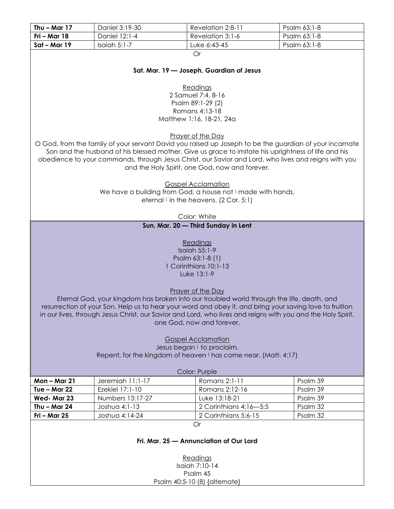| Thu $-$ Mar 17                                                  | Daniel 3:19-30                                                                                              | Revelation 2:8-11                                           | Psalm 63:1-8 |
|-----------------------------------------------------------------|-------------------------------------------------------------------------------------------------------------|-------------------------------------------------------------|--------------|
| Fri - Mar 18                                                    | Daniel 12:1-4                                                                                               | Revelation 3:1-6                                            | Psalm 63:1-8 |
| $Sat - Mar 19$                                                  | Isaiah 5:1-7                                                                                                | Luke 6:43-45                                                | Psalm 63:1-8 |
|                                                                 |                                                                                                             | <b>Or</b>                                                   |              |
|                                                                 |                                                                                                             |                                                             |              |
|                                                                 |                                                                                                             | Sat. Mar. 19 - Joseph, Guardian of Jesus                    |              |
|                                                                 |                                                                                                             |                                                             |              |
|                                                                 |                                                                                                             | Readings                                                    |              |
|                                                                 |                                                                                                             | 2 Samuel 7:4, 8-16                                          |              |
|                                                                 |                                                                                                             | Psalm 89:1-29 (2)                                           |              |
|                                                                 |                                                                                                             | Romans 4:13-18<br>Matthew 1:16, 18-21, 24a                  |              |
|                                                                 |                                                                                                             |                                                             |              |
|                                                                 |                                                                                                             | <b>Prayer of the Day</b>                                    |              |
|                                                                 | O God, from the family of your servant David you raised up Joseph to be the guardian of your incarnate      |                                                             |              |
|                                                                 | Son and the husband of his blessed mother. Give us grace to imitate his uprightness of life and his         |                                                             |              |
|                                                                 | obedience to your commands, through Jesus Christ, our Savior and Lord, who lives and reigns with you        |                                                             |              |
|                                                                 |                                                                                                             | and the Holy Spirit, one God, now and forever.              |              |
|                                                                 |                                                                                                             |                                                             |              |
|                                                                 |                                                                                                             | <b>Gospel Acclamation</b>                                   |              |
|                                                                 |                                                                                                             | We have a building from God, a house not I made with hands, |              |
|                                                                 |                                                                                                             | eternal $\vdash$ in the heavens. (2 Cor. 5:1)               |              |
|                                                                 |                                                                                                             |                                                             |              |
|                                                                 |                                                                                                             | Color: White                                                |              |
|                                                                 |                                                                                                             | Sun. Mar. 20 - Third Sunday in Lent                         |              |
|                                                                 |                                                                                                             |                                                             |              |
|                                                                 |                                                                                                             | Readings                                                    |              |
|                                                                 |                                                                                                             | <b>Isaiah 55:1-9</b>                                        |              |
|                                                                 |                                                                                                             | Psalm 63:1-8 (1)<br>1 Corinthians 10:1-13                   |              |
|                                                                 |                                                                                                             | Luke 13:1-9                                                 |              |
|                                                                 |                                                                                                             |                                                             |              |
|                                                                 |                                                                                                             | <b>Prayer of the Day</b>                                    |              |
|                                                                 | Eternal God, your kingdom has broken into our troubled world through the life, death, and                   |                                                             |              |
|                                                                 | resurrection of your Son. Help us to hear your word and obey it, and bring your saving love to fruition     |                                                             |              |
|                                                                 | in our lives, through Jesus Christ, our Savior and Lord, who lives and reigns with you and the Holy Spirit, |                                                             |              |
|                                                                 |                                                                                                             | one God, now and forever.                                   |              |
|                                                                 |                                                                                                             |                                                             |              |
|                                                                 |                                                                                                             | <b>Gospel Acclamation</b>                                   |              |
|                                                                 |                                                                                                             | Jesus began I to proclaim,                                  |              |
| Repent, for the kingdom of heaven I has come near. (Matt. 4:17) |                                                                                                             |                                                             |              |
| Color: Purple                                                   |                                                                                                             |                                                             |              |
| Mon-Mar 21                                                      | Jeremiah 11:1-17                                                                                            | Romans 2:1-11                                               | Psalm 39     |
| Tue - Mar 22                                                    | Ezekiel 17:1-10                                                                                             | Romans 2:12-16                                              | Psalm 39     |
| Wed-Mar 23                                                      | Numbers 13:17-27                                                                                            | Luke 13:18-21                                               | Psalm 39     |
| Thu $-$ Mar 24                                                  | Joshua 4:1-13                                                                                               | 2 Corinthians 4:16-5:5                                      | Psalm 32     |
| $Fri$ – Mar 25                                                  | Joshua 4:14-24                                                                                              | 2 Corinthians 5:6-15                                        | Psalm 32     |
| Or                                                              |                                                                                                             |                                                             |              |
|                                                                 |                                                                                                             |                                                             |              |
| Fri. Mar. 25 - Annunciation of Our Lord                         |                                                                                                             |                                                             |              |
|                                                                 |                                                                                                             |                                                             |              |
| Readings                                                        |                                                                                                             |                                                             |              |
| Isaiah 7:10-14                                                  |                                                                                                             |                                                             |              |
| Psalm 45                                                        |                                                                                                             |                                                             |              |
| Psalm 40:5-10 (8) {alternate}                                   |                                                                                                             |                                                             |              |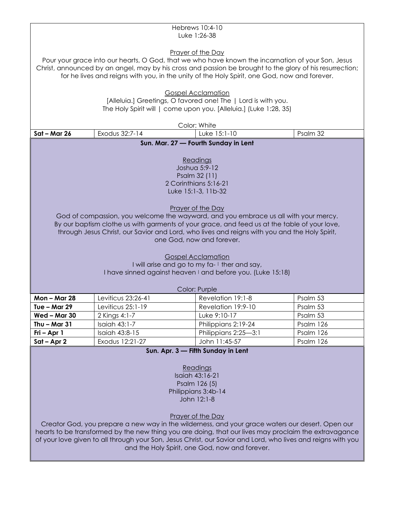| Hebrews 10:4-10<br>Luke 1:26-38                                                                                                                                                                                                                                                                                                                                                                                                                                                                                                                                                                           |                                   |                                       |                        |
|-----------------------------------------------------------------------------------------------------------------------------------------------------------------------------------------------------------------------------------------------------------------------------------------------------------------------------------------------------------------------------------------------------------------------------------------------------------------------------------------------------------------------------------------------------------------------------------------------------------|-----------------------------------|---------------------------------------|------------------------|
| Prayer of the Day<br>Pour your grace into our hearts, O God, that we who have known the incarnation of your Son, Jesus<br>Christ, announced by an angel, may by his cross and passion be brought to the glory of his resurrection;<br>for he lives and reigns with you, in the unity of the Holy Spirit, one God, now and forever.                                                                                                                                                                                                                                                                        |                                   |                                       |                        |
| <b>Gospel Acclamation</b><br>[Alleluia.] Greetings, O favored one! The   Lord is with you.<br>The Holy Spirit will   come upon you. [Alleluia.] (Luke 1:28, 35)                                                                                                                                                                                                                                                                                                                                                                                                                                           |                                   |                                       |                        |
|                                                                                                                                                                                                                                                                                                                                                                                                                                                                                                                                                                                                           |                                   | Color: White                          |                        |
| Sat - Mar 26                                                                                                                                                                                                                                                                                                                                                                                                                                                                                                                                                                                              | Exodus 32:7-14                    | Luke 15:1-10                          | Psalm 32               |
|                                                                                                                                                                                                                                                                                                                                                                                                                                                                                                                                                                                                           |                                   | Sun. Mar. 27 - Fourth Sunday in Lent  |                        |
| Readings<br>Joshua 5:9-12<br>Psalm 32 (11)<br>2 Corinthians 5:16-21<br>Luke 15:1-3, 11b-32<br><b>Prayer of the Day</b><br>God of compassion, you welcome the wayward, and you embrace us all with your mercy.<br>By our baptism clothe us with garments of your grace, and feed us at the table of your love,<br>through Jesus Christ, our Savior and Lord, who lives and reigns with you and the Holy Spirit,<br>one God, now and forever.<br><b>Gospel Acclamation</b><br>I will arise and go to my fa- I ther and say,<br>I have sinned against heaven I and before you. (Luke 15:18)<br>Color: Purple |                                   |                                       |                        |
| <b>Mon-Mar 28</b>                                                                                                                                                                                                                                                                                                                                                                                                                                                                                                                                                                                         | Leviticus 23:26-41                | Revelation 19:1-8                     | Psalm 53               |
| Tue – Mar $29$                                                                                                                                                                                                                                                                                                                                                                                                                                                                                                                                                                                            | Leviticus 25:1-19                 | Revelation 19:9-10                    | Psalm 53               |
| Wed - Mar 30                                                                                                                                                                                                                                                                                                                                                                                                                                                                                                                                                                                              | 2 Kings 4:1-7                     | Luke 9:10-17                          | Psalm 53               |
| Thu $-$ Mar 31                                                                                                                                                                                                                                                                                                                                                                                                                                                                                                                                                                                            | Isaiah 43:1-7                     | Philippians 2:19-24                   | Psalm 126              |
| Fri - Apr 1<br>$Sat - Apr 2$                                                                                                                                                                                                                                                                                                                                                                                                                                                                                                                                                                              | Isaiah 43:8-15<br>Exodus 12:21-27 | Philippians 2:25-3:1<br>John 11:45-57 | Psalm 126<br>Psalm 126 |
| Sun. Apr. 3 - Fifth Sunday in Lent<br>Readings<br>Isaiah 43:16-21<br>Psalm 126 (5)<br>Philippians 3:4b-14<br>John 12:1-8<br>Prayer of the Day<br>Creator God, you prepare a new way in the wilderness, and your grace waters our desert. Open our<br>hearts to be transformed by the new thing you are doing, that our lives may proclaim the extravagance<br>of your love given to all through your Son, Jesus Christ, our Savior and Lord, who lives and reigns with you<br>and the Holy Spirit, one God, now and forever.                                                                              |                                   |                                       |                        |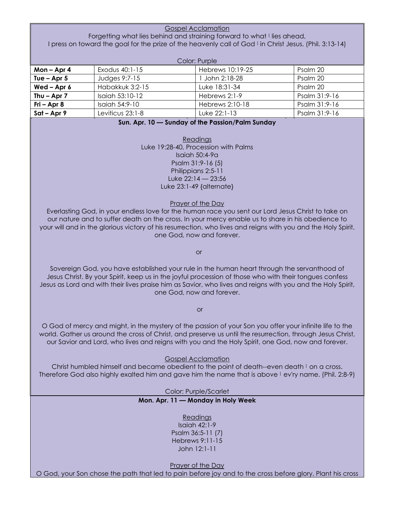Gospel Acclamation Forgetting what lies behind and straining forward to what I lies ahead, I press on toward the goal for the prize of the heavenly call of God I in Christ Jesus. (Phil. 3:13-14)

| Color: Purple   |                   |                  |               |
|-----------------|-------------------|------------------|---------------|
| Mon $-$ Apr 4   | Exodus 40:1-15    | Hebrews 10:19-25 | Psalm 20      |
| Tue $-$ Apr 5   | Judges 9:7-15     | John 2:18-28     | Psalm 20      |
| Wed $-$ Apr $6$ | Habakkuk 3:2-15   | Luke 18:31-34    | Psalm 20      |
| Thu $-$ Apr 7   | Isaiah $53:10-12$ | Hebrews 2:1-9    | Psalm 31:9-16 |
| $Fig - Apr 8$   | Isaiah 54:9-10    | Hebrews 2:10-18  | Psalm 31:9-16 |
| $Sat - Apr 9$   | Leviticus 23:1-8  | Luke 22:1-13     | Psalm 31:9-16 |

**Sun. Apr. 10 — Sunday of the Passion/Palm Sunday**

Readings Luke 19:28-40, Procession with Palms Isaiah 50:4-9a Psalm 31:9-16 (5) Philippians 2:5-11 Luke  $22:14 - 23:56$ Luke 23:1-49 {alternate}

Prayer of the Day

Everlasting God, in your endless love for the human race you sent our Lord Jesus Christ to take on our nature and to suffer death on the cross. In your mercy enable us to share in his obedience to your will and in the glorious victory of his resurrection, who lives and reigns with you and the Holy Spirit, one God, now and forever.

or

Sovereign God, you have established your rule in the human heart through the servanthood of Jesus Christ. By your Spirit, keep us in the joyful procession of those who with their tongues confess Jesus as Lord and with their lives praise him as Savior, who lives and reigns with you and the Holy Spirit, one God, now and forever.

or

O God of mercy and might, in the mystery of the passion of your Son you offer your infinite life to the world. Gather us around the cross of Christ, and preserve us until the resurrection, through Jesus Christ, our Savior and Lord, who lives and reigns with you and the Holy Spirit, one God, now and forever.

#### Gospel Acclamation

Christ humbled himself and became obedient to the point of death--even death I on a cross. Therefore God also highly exalted him and gave him the name that is above I ev'ry name. (Phil. 2:8-9)

Color: Purple/Scarlet

#### **Mon. Apr. 11 — Monday in Holy Week**

Readings Isaiah 42:1-9 Psalm 36:5-11 (7) Hebrews 9:11-15 John 12:1-11

Prayer of the Day O God, your Son chose the path that led to pain before joy and to the cross before glory. Plant his cross